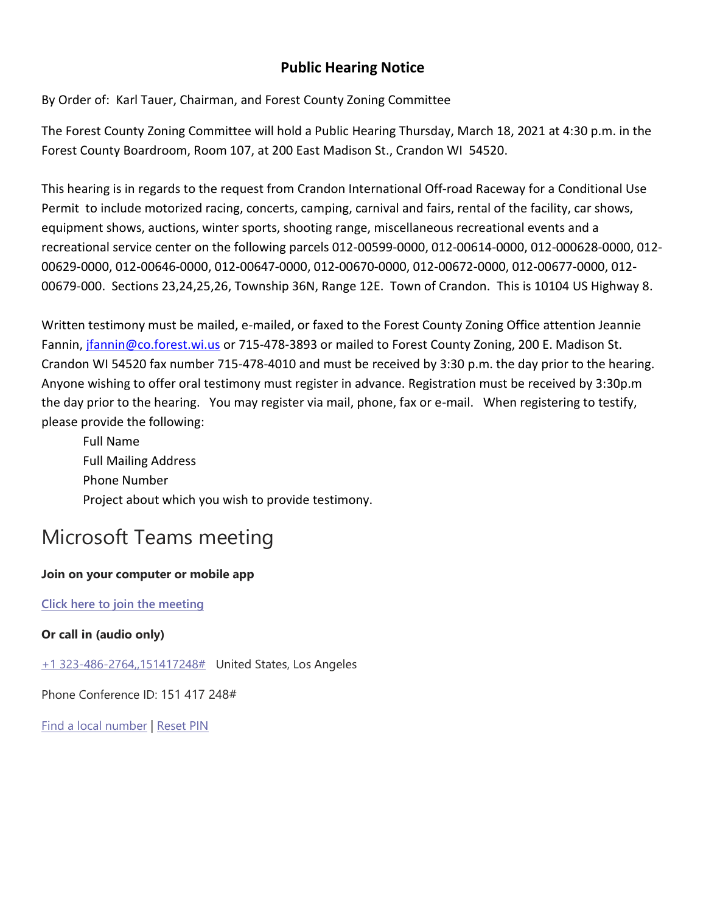## **Public Hearing Notice**

By Order of: Karl Tauer, Chairman, and Forest County Zoning Committee

The Forest County Zoning Committee will hold a Public Hearing Thursday, March 18, 2021 at 4:30 p.m. in the Forest County Boardroom, Room 107, at 200 East Madison St., Crandon WI 54520.

This hearing is in regards to the request from Crandon International Off-road Raceway for a Conditional Use Permit to include motorized racing, concerts, camping, carnival and fairs, rental of the facility, car shows, equipment shows, auctions, winter sports, shooting range, miscellaneous recreational events and a recreational service center on the following parcels 012-00599-0000, 012-00614-0000, 012-000628-0000, 012- 00629-0000, 012-00646-0000, 012-00647-0000, 012-00670-0000, 012-00672-0000, 012-00677-0000, 012- 00679-000. Sections 23,24,25,26, Township 36N, Range 12E. Town of Crandon. This is 10104 US Highway 8.

Written testimony must be mailed, e-mailed, or faxed to the Forest County Zoning Office attention Jeannie Fannin, [jfannin@co.forest.wi.us](mailto:jfannin@co.forest.wi.us) or 715-478-3893 or mailed to Forest County Zoning, 200 E. Madison St. Crandon WI 54520 fax number 715-478-4010 and must be received by 3:30 p.m. the day prior to the hearing. Anyone wishing to offer oral testimony must register in advance. Registration must be received by 3:30p.m the day prior to the hearing. You may register via mail, phone, fax or e-mail. When registering to testify, please provide the following:

Full Name Full Mailing Address Phone Number Project about which you wish to provide testimony.

## Microsoft Teams meeting

## **Join on your computer or mobile app**

**[Click here to join the meeting](https://teams.microsoft.com/l/meetup-join/19%3ameeting_NTRmZWEzMGYtNGNlZi00NWY5LWFmMDctOTljZTc2NTBmOTFm%40thread.v2/0?context=%7b%22Tid%22%3a%222bed56a8-0007-4d47-a61a-a2dd0d93f8ec%22%2c%22Oid%22%3a%22bb0bd87d-3442-407d-b538-5d7a937d1516%22%7d)**

**Or call in (audio only)**

[+1 323-486-2764,,151417248#](tel:+13234862764,,151417248# ) United States, Los Angeles

Phone Conference ID: 151 417 248#

[Find a local number](https://dialin.teams.microsoft.com/51617a7b-ba8a-4b29-8c96-3da1cd50eae6?id=151417248) | [Reset PIN](https://mysettings.lync.com/pstnconferencing)